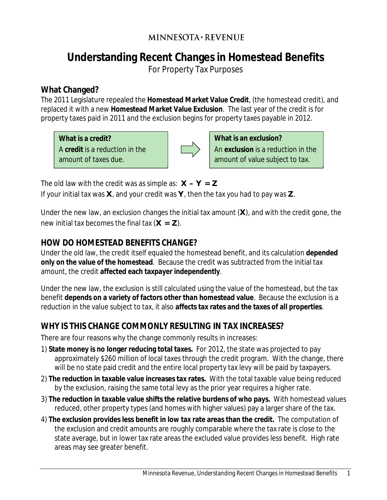## **MINNESOTA · REVENUE**

# **Understanding Recent Changes in Homestead Benefits**

For Property Tax Purposes

#### **What Changed?**

The 2011 Legislature repealed the **Homestead Market Value Credit**, (the homestead credit), and replaced it with a new **Homestead Market Value Exclusion**. The last year of the credit is for property taxes paid in 2011 and the exclusion begins for property taxes payable in 2012.

**What is a credit?** A **credit** is a reduction in the amount of taxes due.



**What is an exclusion?**  An **exclusion** is a reduction in the amount of value subject to tax.

The old law with the credit was as simple as: **X – Y = Z**

If your initial tax was **X**, and your credit was **Y**, then the tax you had to pay was **Z**.

Under the new law, an exclusion changes the initial tax amount (**X**), and with the credit gone, the new initial tax becomes the final tax (**X = Z**).

#### **HOW DO HOMESTEAD BENEFITS CHANGE?**

Under the old law, the credit itself equaled the homestead benefit, and its calculation **depended only on the value of the homestead**. Because the credit was subtracted from the initial tax amount, the credit **affected each taxpayer independently**.

Under the new law, the exclusion is still calculated using the value of the homestead, but the tax benefit **depends on a variety of factors other than homestead value**. Because the exclusion is a reduction in the value subject to tax, it also **affects tax rates and the taxes of all properties**.

#### **WHY IS THIS CHANGE COMMONLY RESULTING IN TAX INCREASES?**

There are four reasons why the change commonly results in increases:

- 1) **State money is no longer reducing total taxes.** For 2012, the state was projected to pay approximately \$260 million of local taxes through the credit program. With the change, there will be no state paid credit and the entire local property tax levy will be paid by taxpayers.
- 2) **The reduction in taxable value increases tax rates.** With the total taxable value being reduced by the exclusion, raising the same total levy as the prior year requires a higher rate.
- 3) **The reduction in taxable value shifts the relative burdens of who pays.** With homestead values reduced, other property types (and homes with higher values) pay a larger share of the tax.
- 4) **The exclusion provides less benefit in low tax rate areas than the credit.** The computation of the exclusion and credit amounts are roughly comparable where the tax rate is close to the state average, but in lower tax rate areas the excluded value provides less benefit. High rate areas may see greater benefit.